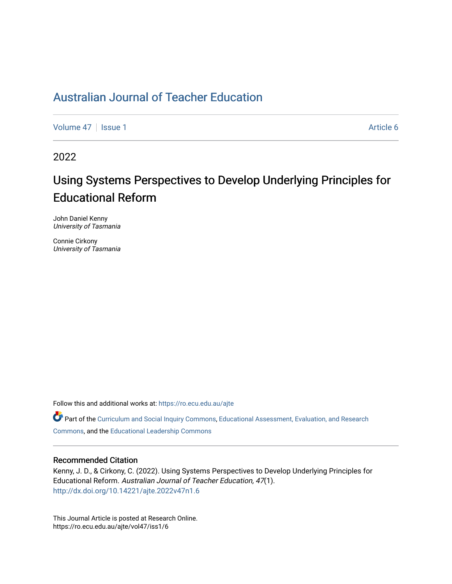# [Australian Journal of Teacher Education](https://ro.ecu.edu.au/ajte)

[Volume 47](https://ro.ecu.edu.au/ajte/vol47) | [Issue 1](https://ro.ecu.edu.au/ajte/vol47/iss1) Article 6

2022

# Using Systems Perspectives to Develop Underlying Principles for Educational Reform

John Daniel Kenny University of Tasmania

Connie Cirkony University of Tasmania

Follow this and additional works at: [https://ro.ecu.edu.au/ajte](https://ro.ecu.edu.au/ajte?utm_source=ro.ecu.edu.au%2Fajte%2Fvol47%2Fiss1%2F6&utm_medium=PDF&utm_campaign=PDFCoverPages) 

Part of the [Curriculum and Social Inquiry Commons,](http://network.bepress.com/hgg/discipline/1038?utm_source=ro.ecu.edu.au%2Fajte%2Fvol47%2Fiss1%2F6&utm_medium=PDF&utm_campaign=PDFCoverPages) Educational Assessment, Evaluation, and Research [Commons,](http://network.bepress.com/hgg/discipline/796?utm_source=ro.ecu.edu.au%2Fajte%2Fvol47%2Fiss1%2F6&utm_medium=PDF&utm_campaign=PDFCoverPages) and the [Educational Leadership Commons](http://network.bepress.com/hgg/discipline/1230?utm_source=ro.ecu.edu.au%2Fajte%2Fvol47%2Fiss1%2F6&utm_medium=PDF&utm_campaign=PDFCoverPages) 

#### Recommended Citation

Kenny, J. D., & Cirkony, C. (2022). Using Systems Perspectives to Develop Underlying Principles for Educational Reform. Australian Journal of Teacher Education, 47(1). <http://dx.doi.org/10.14221/ajte.2022v47n1.6>

This Journal Article is posted at Research Online. https://ro.ecu.edu.au/ajte/vol47/iss1/6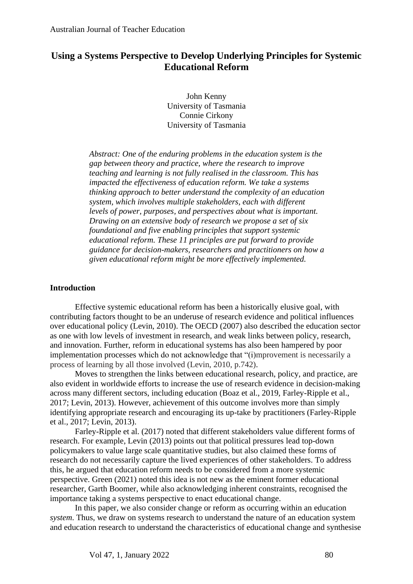# **Using a Systems Perspective to Develop Underlying Principles for Systemic Educational Reform**

John Kenny University of Tasmania Connie Cirkony University of Tasmania

*Abstract: One of the enduring problems in the education system is the gap between theory and practice, where the research to improve teaching and learning is not fully realised in the classroom. This has impacted the effectiveness of education reform. We take a systems thinking approach to better understand the complexity of an education system, which involves multiple stakeholders, each with different levels of power, purposes, and perspectives about what is important. Drawing on an extensive body of research we propose a set of six foundational and five enabling principles that support systemic educational reform. These 11 principles are put forward to provide guidance for decision-makers, researchers and practitioners on how a given educational reform might be more effectively implemented.* 

#### **Introduction**

Effective systemic educational reform has been a historically elusive goal, with contributing factors thought to be an underuse of research evidence and political influences over educational policy (Levin, 2010). The OECD (2007) also described the education sector as one with low levels of investment in research, and weak links between policy, research, and innovation. Further, reform in educational systems has also been hampered by poor implementation processes which do not acknowledge that "(i)mprovement is necessarily a process of learning by all those involved (Levin, 2010, p.742).

Moves to strengthen the links between educational research, policy, and practice, are also evident in worldwide efforts to increase the use of research evidence in decision-making across many different sectors, including education (Boaz et al., 2019, Farley-Ripple et al., 2017; Levin, 2013). However, achievement of this outcome involves more than simply identifying appropriate research and encouraging its up-take by practitioners (Farley-Ripple et al., 2017; Levin, 2013).

Farley-Ripple et al. (2017) noted that different stakeholders value different forms of research. For example, Levin (2013) points out that political pressures lead top-down policymakers to value large scale quantitative studies, but also claimed these forms of research do not necessarily capture the lived experiences of other stakeholders. To address this, he argued that education reform needs to be considered from a more systemic perspective. Green (2021) noted this idea is not new as the eminent former educational researcher, Garth Boomer, while also acknowledging inherent constraints, recognised the importance taking a systems perspective to enact educational change.

In this paper, we also consider change or reform as occurring within an education *system*. Thus, we draw on systems research to understand the nature of an education system and education research to understand the characteristics of educational change and synthesise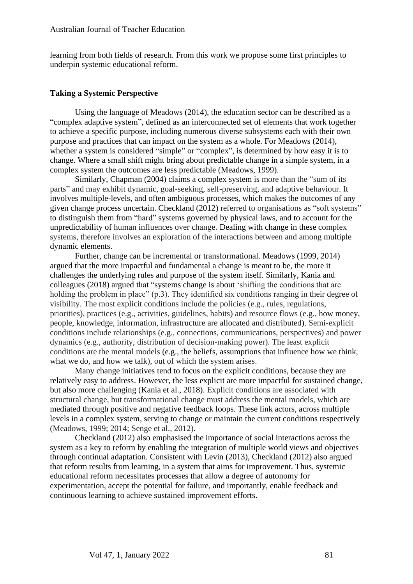learning from both fields of research. From this work we propose some first principles to underpin systemic educational reform.

#### **Taking a Systemic Perspective**

Using the language of Meadows (2014), the education sector can be described as a "complex adaptive system", defined as an interconnected set of elements that work together to achieve a specific purpose, including numerous diverse subsystems each with their own purpose and practices that can impact on the system as a whole. For Meadows (2014), whether a system is considered "simple" or "complex", is determined by how easy it is to change. Where a small shift might bring about predictable change in a simple system, in a complex system the outcomes are less predictable (Meadows, 1999).

Similarly, Chapman (2004) claims a complex system is more than the "sum of its parts" and may exhibit dynamic, goal-seeking, self-preserving, and adaptive behaviour. It involves multiple-levels, and often ambiguous processes, which makes the outcomes of any given change process uncertain. Checkland (2012) referred to organisations as "soft systems" to distinguish them from "hard" systems governed by physical laws, and to account for the unpredictability of human influences over change. Dealing with change in these complex systems, therefore involves an exploration of the interactions between and among multiple dynamic elements.

Further, change can be incremental or transformational. Meadows (1999, 2014) argued that the more impactful and fundamental a change is meant to be, the more it challenges the underlying rules and purpose of the system itself. Similarly, Kania and colleagues (2018) argued that "systems change is about 'shifting the conditions that are holding the problem in place" (p.3). They identified six conditions ranging in their degree of visibility. The most explicit conditions include the policies (e.g., rules, regulations, priorities), practices (e.g., activities, guidelines, habits) and resource flows (e.g., how money, people, knowledge, information, infrastructure are allocated and distributed). Semi-explicit conditions include relationships (e.g., connections, communications, perspectives) and power dynamics (e.g., authority, distribution of decision-making power). The least explicit conditions are the mental models (e.g., the beliefs, assumptions that influence how we think, what we do, and how we talk), out of which the system arises.

Many change initiatives tend to focus on the explicit conditions, because they are relatively easy to address. However, the less explicit are more impactful for sustained change, but also more challenging (Kania et al., 2018). Explicit conditions are associated with structural change, but transformational change must address the mental models, which are mediated through positive and negative feedback loops. These link actors, across multiple levels in a complex system, serving to change or maintain the current conditions respectively (Meadows, 1999; 2014; Senge et al., 2012).

Checkland (2012) also emphasised the importance of social interactions across the system as a key to reform by enabling the integration of multiple world views and objectives through continual adaptation. Consistent with Levin (2013), Checkland (2012) also argued that reform results from learning, in a system that aims for improvement. Thus, systemic educational reform necessitates processes that allow a degree of autonomy for experimentation, accept the potential for failure, and importantly, enable feedback and continuous learning to achieve sustained improvement efforts.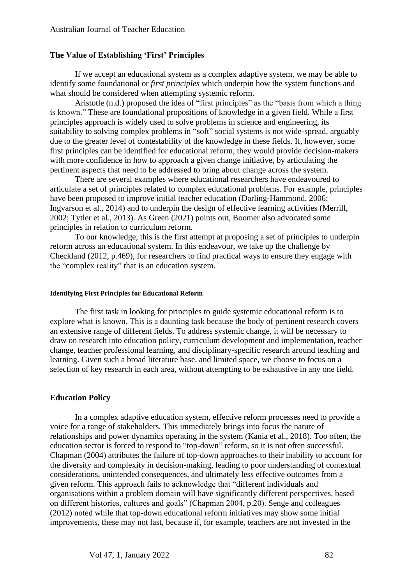#### **The Value of Establishing 'First' Principles**

If we accept an educational system as a complex adaptive system, we may be able to identify some foundational or *first principles* which underpin how the system functions and what should be considered when attempting systemic reform.

Aristotle (n.d.) proposed the idea of "first principles" as the "basis from which a thing is known." These are foundational propositions of knowledge in a given field. While a first principles approach is widely used to solve problems in science and engineering, its suitability to solving complex problems in "soft" social systems is not wide-spread, arguably due to the greater level of contestability of the knowledge in these fields. If, however, some first principles can be identified for educational reform, they would provide decision-makers with more confidence in how to approach a given change initiative, by articulating the pertinent aspects that need to be addressed to bring about change across the system.

There are several examples where educational researchers have endeavoured to articulate a set of principles related to complex educational problems. For example, principles have been proposed to improve initial teacher education (Darling-Hammond, 2006; Ingvarson et al., 2014) and to underpin the design of effective learning activities (Merrill, 2002; Tytler et al., 2013). As Green (2021) points out, Boomer also advocated some principles in relation to curriculum reform.

To our knowledge, this is the first attempt at proposing a set of principles to underpin reform across an educational system. In this endeavour, we take up the challenge by Checkland (2012, p.469), for researchers to find practical ways to ensure they engage with the "complex reality" that is an education system.

#### **Identifying First Principles for Educational Reform**

The first task in looking for principles to guide systemic educational reform is to explore what is known. This is a daunting task because the body of pertinent research covers an extensive range of different fields. To address systemic change, it will be necessary to draw on research into education policy, curriculum development and implementation, teacher change, teacher professional learning, and disciplinary-specific research around teaching and learning. Given such a broad literature base, and limited space, we choose to focus on a selection of key research in each area, without attempting to be exhaustive in any one field.

#### **Education Policy**

In a complex adaptive education system, effective reform processes need to provide a voice for a range of stakeholders. This immediately brings into focus the nature of relationships and power dynamics operating in the system (Kania et al., 2018). Too often, the education sector is forced to respond to "top-down" reform, so it is not often successful. Chapman (2004) attributes the failure of top-down approaches to their inability to account for the diversity and complexity in decision-making, leading to poor understanding of contextual considerations, unintended consequences, and ultimately less effective outcomes from a given reform. This approach fails to acknowledge that "different individuals and organisations within a problem domain will have significantly different perspectives, based on different histories, cultures and goals" (Chapman 2004, p.20). Senge and colleagues (2012) noted while that top-down educational reform initiatives may show some initial improvements, these may not last, because if, for example, teachers are not invested in the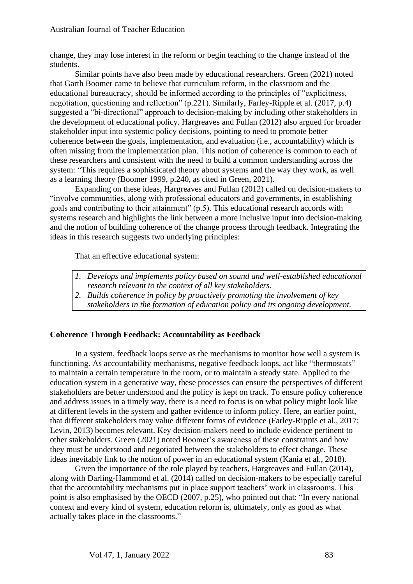change, they may lose interest in the reform or begin teaching to the change instead of the students.

Similar points have also been made by educational researchers. Green (2021) noted that Garth Boomer came to believe that curriculum reform, in the classroom and the educational bureaucracy, should be informed according to the principles of "explicitness, negotiation, questioning and reflection" (p.221). Similarly, Farley-Ripple et al. (2017, p.4) suggested a "bi-directional" approach to decision-making by including other stakeholders in the development of educational policy. Hargreaves and Fullan (2012) also argued for broader stakeholder input into systemic policy decisions, pointing to need to promote better coherence between the goals, implementation, and evaluation (i.e., accountability) which is often missing from the implementation plan. This notion of coherence is common to each of these researchers and consistent with the need to build a common understanding across the system: "This requires a sophisticated theory about systems and the way they work, as well as a learning theory (Boomer 1999, p.240, as cited in Green, 2021).

Expanding on these ideas, Hargreaves and Fullan (2012) called on decision-makers to "involve communities, along with professional educators and governments, in establishing goals and contributing to their attainment" (p.5). This educational research accords with systems research and highlights the link between a more inclusive input into decision-making and the notion of building coherence of the change process through feedback. Integrating the ideas in this research suggests two underlying principles:

That an effective educational system:

- *1. Develops and implements policy based on sound and well-established educational research relevant to the context of all key stakeholders.*
- *2. Builds coherence in policy by proactively promoting the involvement of key* 
	- *stakeholders in the formation of education policy and its ongoing development.*

#### **Coherence Through Feedback: Accountability as Feedback**

In a system, feedback loops serve as the mechanisms to monitor how well a system is functioning. As accountability mechanisms, negative feedback loops, act like "thermostats" to maintain a certain temperature in the room, or to maintain a steady state. Applied to the education system in a generative way, these processes can ensure the perspectives of different stakeholders are better understood and the policy is kept on track. To ensure policy coherence and address issues in a timely way, there is a need to focus is on what policy might look like at different levels in the system and gather evidence to inform policy. Here, an earlier point, that different stakeholders may value different forms of evidence (Farley-Ripple et al., 2017; Levin, 2013) becomes relevant. Key decision-makers need to include evidence pertinent to other stakeholders. Green (2021) noted Boomer's awareness of these constraints and how they must be understood and negotiated between the stakeholders to effect change. These ideas inevitably link to the notion of power in an educational system (Kania et al., 2018).

Given the importance of the role played by teachers, Hargreaves and Fullan (2014), along with Darling-Hammond et al. (2014) called on decision-makers to be especially careful that the accountability mechanisms put in place support teachers' work in classrooms. This point is also emphasised by the OECD (2007, p.25), who pointed out that: "In every national context and every kind of system, education reform is, ultimately, only as good as what actually takes place in the classrooms."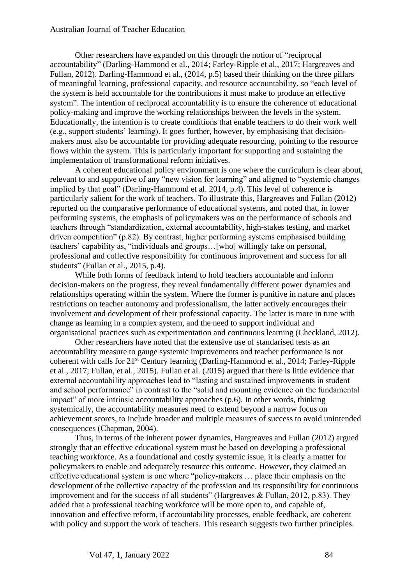Other researchers have expanded on this through the notion of "reciprocal accountability" (Darling-Hammond et al., 2014; Farley-Ripple et al., 2017; Hargreaves and Fullan, 2012). Darling-Hammond et al., (2014, p.5) based their thinking on the three pillars of meaningful learning, professional capacity, and resource accountability, so "each level of the system is held accountable for the contributions it must make to produce an effective system". The intention of reciprocal accountability is to ensure the coherence of educational policy-making and improve the working relationships between the levels in the system. Educationally, the intention is to create conditions that enable teachers to do their work well (e.g., support students' learning). It goes further, however, by emphasising that decisionmakers must also be accountable for providing adequate resourcing, pointing to the resource flows within the system. This is particularly important for supporting and sustaining the implementation of transformational reform initiatives.

A coherent educational policy environment is one where the curriculum is clear about, relevant to and supportive of any "new vision for learning" and aligned to "systemic changes implied by that goal" (Darling-Hammond et al. 2014, p.4). This level of coherence is particularly salient for the work of teachers. To illustrate this, Hargreaves and Fullan (2012) reported on the comparative performance of educational systems, and noted that, in lower performing systems, the emphasis of policymakers was on the performance of schools and teachers through "standardization, external accountability, high-stakes testing, and market driven competition" (p.82). By contrast, higher performing systems emphasised building teachers' capability as, "individuals and groups…[who] willingly take on personal, professional and collective responsibility for continuous improvement and success for all students" (Fullan et al., 2015, p.4).

While both forms of feedback intend to hold teachers accountable and inform decision-makers on the progress, they reveal fundamentally different power dynamics and relationships operating within the system. Where the former is punitive in nature and places restrictions on teacher autonomy and professionalism, the latter actively encourages their involvement and development of their professional capacity. The latter is more in tune with change as learning in a complex system, and the need to support individual and organisational practices such as experimentation and continuous learning (Checkland, 2012).

Other researchers have noted that the extensive use of standarised tests as an accountability measure to gauge systemic improvements and teacher performance is not coherent with calls for 21<sup>st</sup> Century learning (Darling-Hammond et al., 2014; Farley-Ripple et al., 2017; Fullan, et al., 2015). Fullan et al. (2015) argued that there is little evidence that external accountability approaches lead to "lasting and sustained improvements in student and school performance" in contrast to the "solid and mounting evidence on the fundamental impact" of more intrinsic accountability approaches (p.6). In other words, thinking systemically, the accountability measures need to extend beyond a narrow focus on achievement scores, to include broader and multiple measures of success to avoid unintended consequences (Chapman, 2004).

Thus, in terms of the inherent power dynamics, Hargreaves and Fullan (2012) argued strongly that an effective educational system must be based on developing a professional teaching workforce. As a foundational and costly systemic issue, it is clearly a matter for policymakers to enable and adequately resource this outcome. However, they claimed an effective educational system is one where "policy-makers … place their emphasis on the development of the collective capacity of the profession and its responsibility for continuous improvement and for the success of all students" (Hargreaves & Fullan, 2012, p.83). They added that a professional teaching workforce will be more open to, and capable of, innovation and effective reform, if accountability processes, enable feedback, are coherent with policy and support the work of teachers. This research suggests two further principles.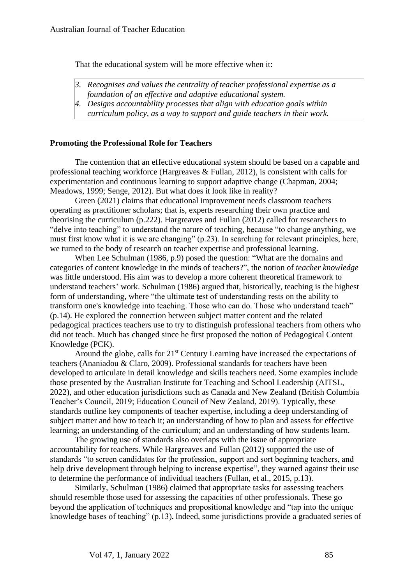That the educational system will be more effective when it:

- *3. Recognises and values the centrality of teacher professional expertise as a*
- *foundation of an effective and adaptive educational system.*
- *4. Designs accountability processes that align with education goals within curriculum policy, as a way to support and guide teachers in their work.*

# **Promoting the Professional Role for Teachers**

The contention that an effective educational system should be based on a capable and professional teaching workforce (Hargreaves & Fullan, 2012), is consistent with calls for experimentation and continuous learning to support adaptive change (Chapman, 2004; Meadows, 1999; Senge, 2012). But what does it look like in reality?

Green (2021) claims that educational improvement needs classroom teachers operating as practitioner scholars; that is, experts researching their own practice and theorising the curriculum (p.222). Hargreaves and Fullan (2012) called for researchers to "delve into teaching" to understand the nature of teaching, because "to change anything, we must first know what it is we are changing" (p.23). In searching for relevant principles, here, we turned to the body of research on teacher expertise and professional learning.

When Lee Schulman (1986, p.9) posed the question: "What are the domains and categories of content knowledge in the minds of teachers?", the notion of *teacher knowledge* was little understood. His aim was to develop a more coherent theoretical framework to understand teachers' work. Schulman (1986) argued that, historically, teaching is the highest form of understanding, where "the ultimate test of understanding rests on the ability to transform one's knowledge into teaching. Those who can do. Those who understand teach" (p.14). He explored the connection between subject matter content and the related pedagogical practices teachers use to try to distinguish professional teachers from others who did not teach. Much has changed since he first proposed the notion of Pedagogical Content Knowledge (PCK).

Around the globe, calls for 21<sup>st</sup> Century Learning have increased the expectations of teachers (Ananiadou & Claro, 2009). Professional standards for teachers have been developed to articulate in detail knowledge and skills teachers need. Some examples include those presented by the Australian Institute for Teaching and School Leadership (AITSL, 2022), and other education jurisdictions such as Canada and New Zealand (British Columbia Teacher's Council, 2019; Education Council of New Zealand, 2019). Typically, these standards outline key components of teacher expertise, including a deep understanding of subject matter and how to teach it; an understanding of how to plan and assess for effective learning; an understanding of the curriculum; and an understanding of how students learn.

The growing use of standards also overlaps with the issue of appropriate accountability for teachers. While Hargreaves and Fullan (2012) supported the use of standards "to screen candidates for the profession, support and sort beginning teachers, and help drive development through helping to increase expertise", they warned against their use to determine the performance of individual teachers (Fullan, et al., 2015, p.13).

Similarly, Schulman (1986) claimed that appropriate tasks for assessing teachers should resemble those used for assessing the capacities of other professionals. These go beyond the application of techniques and propositional knowledge and "tap into the unique knowledge bases of teaching" (p.13)**.** Indeed, some jurisdictions provide a graduated series of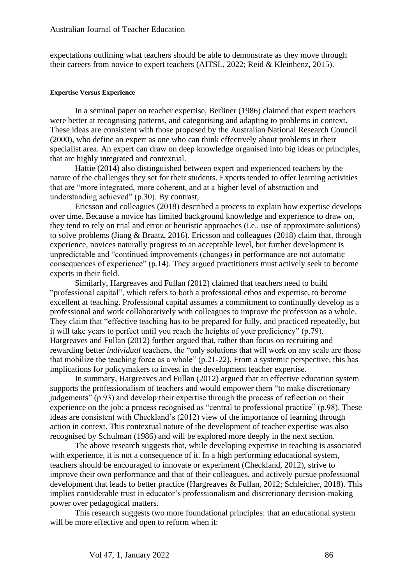expectations outlining what teachers should be able to demonstrate as they move through their careers from novice to expert teachers (AITSL, 2022; Reid & Kleinhenz, 2015).

#### **Expertise Versus Experience**

In a seminal paper on teacher expertise, Berliner (1986) claimed that expert teachers were better at recognising patterns, and categorising and adapting to problems in context. These ideas are consistent with those proposed by the Australian National Research Council (2000), who define an expert as one who can think effectively about problems in their specialist area. An expert can draw on deep knowledge organised into big ideas or principles, that are highly integrated and contextual.

Hattie (2014) also distinguished between expert and experienced teachers by the nature of the challenges they set for their students. Experts tended to offer learning activities that are "more integrated, more coherent, and at a higher level of abstraction and understanding achieved" (p.30). By contrast,

Ericsson and colleagues (2018) described a process to explain how expertise develops over time. Because a novice has limited background knowledge and experience to draw on, they tend to rely on trial and error or heuristic approaches (i.e., use of approximate solutions) to solve problems (Jiang & Braatz, 2016). Ericsson and colleagues (2018) claim that, through experience, novices naturally progress to an acceptable level, but further development is unpredictable and "continued improvements (changes) in performance are not automatic consequences of experience" (p.14). They argued practitioners must actively seek to become experts in their field.

Similarly, Hargreaves and Fullan (2012) claimed that teachers need to build "professional capital", which refers to both a professional ethos and expertise, to become excellent at teaching. Professional capital assumes a commitment to continually develop as a professional and work collaboratively with colleagues to improve the profession as a whole. They claim that "effective teaching has to be prepared for fully, and practiced repeatedly, but it will take years to perfect until you reach the heights of your proficiency" (p.79). Hargreaves and Fullan (2012) further argued that, rather than focus on recruiting and rewarding better *individual* teachers, the "only solutions that will work on any scale are those that mobilize the teaching force as a whole" (p.21-22). From a systemic perspective, this has implications for policymakers to invest in the development teacher expertise.

In summary, Hargreaves and Fullan (2012) argued that an effective education system supports the professionalism of teachers and would empower them "to make discretionary judgements" (p.93) and develop their expertise through the process of reflection on their experience on the job: a process recognised as "central to professional practice" (p.98). These ideas are consistent with Checkland's (2012) view of the importance of learning through action in context. This contextual nature of the development of teacher expertise was also recognised by Schulman (1986) and will be explored more deeply in the next section.

The above research suggests that, while developing expertise in teaching is associated with experience, it is not a consequence of it. In a high performing educational system, teachers should be encouraged to innovate or experiment (Checkland, 2012), strive to improve their own performance and that of their colleagues, and actively pursue professional development that leads to better practice (Hargreaves & Fullan, 2012; Schleicher, 2018). This implies considerable trust in educator's professionalism and discretionary decision-making power over pedagogical matters.

This research suggests two more foundational principles: that an educational system will be more effective and open to reform when it: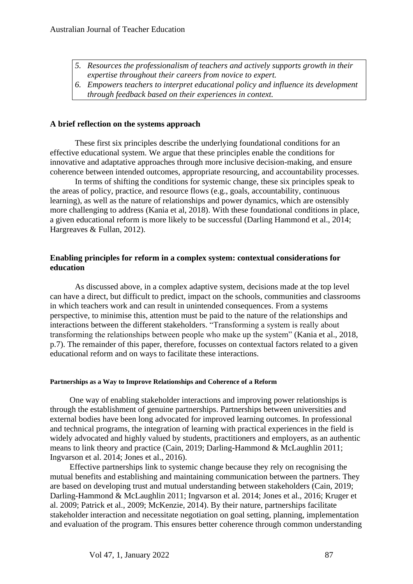- *5. Resources the professionalism of teachers and actively supports growth in their expertise throughout their careers from novice to expert.*
- *6. Empowers teachers to interpret educational policy and influence its development through feedback based on their experiences in context.*

### **A brief reflection on the systems approach**

These first six principles describe the underlying foundational conditions for an effective educational system. We argue that these principles enable the conditions for innovative and adaptative approaches through more inclusive decision-making, and ensure coherence between intended outcomes, appropriate resourcing, and accountability processes.

In terms of shifting the conditions for systemic change, these six principles speak to the areas of policy, practice, and resource flows (e.g., goals, accountability, continuous learning), as well as the nature of relationships and power dynamics, which are ostensibly more challenging to address (Kania et al, 2018). With these foundational conditions in place, a given educational reform is more likely to be successful (Darling Hammond et al., 2014; Hargreaves & Fullan, 2012).

#### **Enabling principles for reform in a complex system: contextual considerations for education**

As discussed above, in a complex adaptive system, decisions made at the top level can have a direct, but difficult to predict, impact on the schools, communities and classrooms in which teachers work and can result in unintended consequences. From a systems perspective, to minimise this, attention must be paid to the nature of the relationships and interactions between the different stakeholders. "Transforming a system is really about transforming the relationships between people who make up the system" (Kania et al., 2018, p.7). The remainder of this paper, therefore, focusses on contextual factors related to a given educational reform and on ways to facilitate these interactions.

#### **Partnerships as a Way to Improve Relationships and Coherence of a Reform**

One way of enabling stakeholder interactions and improving power relationships is through the establishment of genuine partnerships. Partnerships between universities and external bodies have been long advocated for improved learning outcomes. In professional and technical programs, the integration of learning with practical experiences in the field is widely advocated and highly valued by students, practitioners and employers, as an authentic means to link theory and practice (Cain, 2019; Darling-Hammond & McLaughlin 2011; Ingvarson et al. 2014; Jones et al., 2016).

Effective partnerships link to systemic change because they rely on recognising the mutual benefits and establishing and maintaining communication between the partners. They are based on developing trust and mutual understanding between stakeholders (Cain, 2019; Darling-Hammond & McLaughlin 2011; Ingvarson et al. 2014; Jones et al., 2016; Kruger et al. 2009; Patrick et al., 2009; McKenzie, 2014). By their nature, partnerships facilitate stakeholder interaction and necessitate negotiation on goal setting, planning, implementation and evaluation of the program. This ensures better coherence through common understanding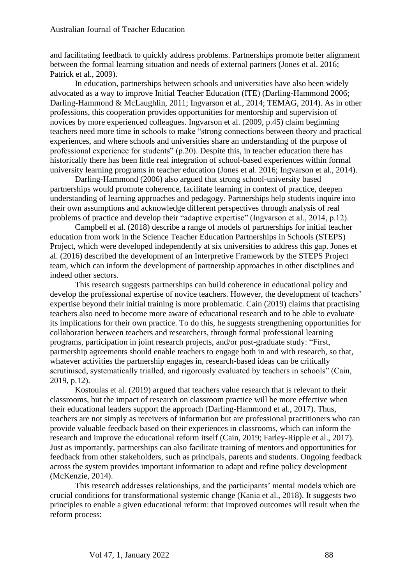and facilitating feedback to quickly address problems. Partnerships promote better alignment between the formal learning situation and needs of external partners (Jones et al. 2016; Patrick et al., 2009).

In education, partnerships between schools and universities have also been widely advocated as a way to improve Initial Teacher Education (ITE) (Darling-Hammond 2006; Darling-Hammond & McLaughlin, 2011; Ingvarson et al., 2014; TEMAG, 2014). As in other professions, this cooperation provides opportunities for mentorship and supervision of novices by more experienced colleagues. Ingvarson et al. (2009, p.45) claim beginning teachers need more time in schools to make "strong connections between theory and practical experiences, and where schools and universities share an understanding of the purpose of professional experience for students" (p.20). Despite this, in teacher education there has historically there has been little real integration of school-based experiences within formal university learning programs in teacher education (Jones et al. 2016; Ingvarson et al., 2014).

Darling-Hammond (2006) also argued that strong school-university based partnerships would promote coherence, facilitate learning in context of practice, deepen understanding of learning approaches and pedagogy. Partnerships help students inquire into their own assumptions and acknowledge different perspectives through analysis of real problems of practice and develop their "adaptive expertise" (Ingvarson et al., 2014, p.12).

Campbell et al. (2018) describe a range of models of partnerships for initial teacher education from work in the Science Teacher Education Partnerships in Schools (STEPS) Project, which were developed independently at six universities to address this gap. Jones et al. (2016) described the development of an Interpretive Framework by the STEPS Project team, which can inform the development of partnership approaches in other disciplines and indeed other sectors.

This research suggests partnerships can build coherence in educational policy and develop the professional expertise of novice teachers. However, the development of teachers' expertise beyond their initial training is more problematic. Cain (2019) claims that practising teachers also need to become more aware of educational research and to be able to evaluate its implications for their own practice. To do this, he suggests strengthening opportunities for collaboration between teachers and researchers, through formal professional learning programs, participation in joint research projects, and/or post-graduate study: "First, partnership agreements should enable teachers to engage both in and with research, so that, whatever activities the partnership engages in, research-based ideas can be critically scrutinised, systematically trialled, and rigorously evaluated by teachers in schools" (Cain, 2019, p.12).

Kostoulas et al. (2019) argued that teachers value research that is relevant to their classrooms, but the impact of research on classroom practice will be more effective when their educational leaders support the approach (Darling-Hammond et al., 2017). Thus, teachers are not simply as receivers of information but are professional practitioners who can provide valuable feedback based on their experiences in classrooms, which can inform the research and improve the educational reform itself (Cain, 2019; Farley-Ripple et al., 2017). Just as importantly, partnerships can also facilitate training of mentors and opportunities for feedback from other stakeholders, such as principals, parents and students. Ongoing feedback across the system provides important information to adapt and refine policy development (McKenzie, 2014).

This research addresses relationships, and the participants' mental models which are crucial conditions for transformational systemic change (Kania et al., 2018). It suggests two principles to enable a given educational reform: that improved outcomes will result when the reform process: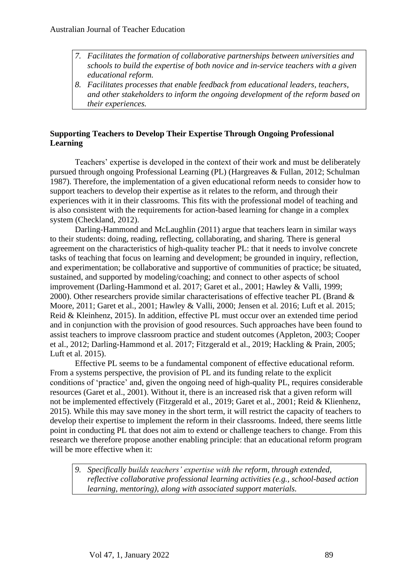- *7. Facilitates the formation of collaborative partnerships between universities and schools to build the expertise of both novice and in-service teachers with a given educational reform.*
- *8. Facilitates processes that enable feedback from educational leaders, teachers, and other stakeholders to inform the ongoing development of the reform based on their experiences.*

# **Supporting Teachers to Develop Their Expertise Through Ongoing Professional Learning**

Teachers' expertise is developed in the context of their work and must be deliberately pursued through ongoing Professional Learning (PL) (Hargreaves & Fullan, 2012; Schulman 1987). Therefore, the implementation of a given educational reform needs to consider how to support teachers to develop their expertise as it relates to the reform, and through their experiences with it in their classrooms. This fits with the professional model of teaching and is also consistent with the requirements for action-based learning for change in a complex system (Checkland, 2012).

Darling-Hammond and McLaughlin (2011) argue that teachers learn in similar ways to their students: doing, reading, reflecting, collaborating, and sharing. There is general agreement on the characteristics of high-quality teacher PL: that it needs to involve concrete tasks of teaching that focus on learning and development; be grounded in inquiry, reflection, and experimentation; be collaborative and supportive of communities of practice; be situated, sustained, and supported by modeling/coaching; and connect to other aspects of school improvement (Darling-Hammond et al. 2017; Garet et al., 2001; Hawley & Valli, 1999; 2000). Other researchers provide similar characterisations of effective teacher PL (Brand & Moore, 2011; Garet et al., 2001; Hawley & Valli, 2000; Jensen et al. 2016; Luft et al. 2015; Reid & Kleinhenz, 2015). In addition, effective PL must occur over an extended time period and in conjunction with the provision of good resources. Such approaches have been found to assist teachers to improve classroom practice and student outcomes (Appleton, 2003; Cooper et al., 2012; Darling-Hammond et al. 2017; Fitzgerald et al., 2019; Hackling & Prain, 2005; Luft et al. 2015).

Effective PL seems to be a fundamental component of effective educational reform. From a systems perspective, the provision of PL and its funding relate to the explicit conditions of 'practice' and, given the ongoing need of high-quality PL, requires considerable resources (Garet et al., 2001). Without it, there is an increased risk that a given reform will not be implemented effectively (Fitzgerald et al., 2019; Garet et al., 2001; Reid & Klienhenz, 2015). While this may save money in the short term, it will restrict the capacity of teachers to develop their expertise to implement the reform in their classrooms. Indeed, there seems little point in conducting PL that does not aim to extend or challenge teachers to change. From this research we therefore propose another enabling principle: that an educational reform program will be more effective when it:

*9. Specifically builds teachers' expertise with the reform, through extended, reflective collaborative professional learning activities (e.g., school-based action learning, mentoring), along with associated support materials.*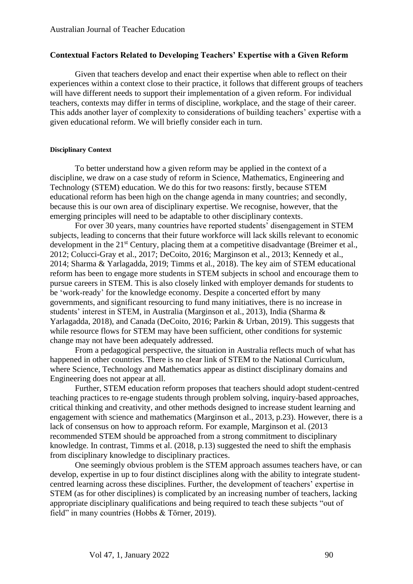#### **Contextual Factors Related to Developing Teachers' Expertise with a Given Reform**

Given that teachers develop and enact their expertise when able to reflect on their experiences within a context close to their practice, it follows that different groups of teachers will have different needs to support their implementation of a given reform. For individual teachers, contexts may differ in terms of discipline, workplace, and the stage of their career. This adds another layer of complexity to considerations of building teachers' expertise with a given educational reform. We will briefly consider each in turn.

#### **Disciplinary Context**

To better understand how a given reform may be applied in the context of a discipline, we draw on a case study of reform in Science, Mathematics, Engineering and Technology (STEM) education. We do this for two reasons: firstly, because STEM educational reform has been high on the change agenda in many countries; and secondly, because this is our own area of disciplinary expertise. We recognise, however, that the emerging principles will need to be adaptable to other disciplinary contexts.

For over 30 years, many countries have reported students' disengagement in STEM subjects, leading to concerns that their future workforce will lack skills relevant to economic development in the 21<sup>st</sup> Century, placing them at a competitive disadvantage (Breimer et al., 2012; Colucci-Gray et al., 2017; DeCoito, 2016; Marginson et al., 2013; Kennedy et al., 2014; Sharma & Yarlagadda, 2019; Timms et al., 2018). The key aim of STEM educational reform has been to engage more students in STEM subjects in school and encourage them to pursue careers in STEM. This is also closely linked with employer demands for students to be 'work-ready' for the knowledge economy. Despite a concerted effort by many governments, and significant resourcing to fund many initiatives, there is no increase in students' interest in STEM, in Australia (Marginson et al., 2013), India (Sharma & Yarlagadda, 2018), and Canada (DeCoito, 2016; Parkin & Urban, 2019). This suggests that while resource flows for STEM may have been sufficient, other conditions for systemic change may not have been adequately addressed.

From a pedagogical perspective, the situation in Australia reflects much of what has happened in other countries. There is no clear link of STEM to the National Curriculum, where Science, Technology and Mathematics appear as distinct disciplinary domains and Engineering does not appear at all.

Further, STEM education reform proposes that teachers should adopt student-centred teaching practices to re-engage students through problem solving, inquiry-based approaches, critical thinking and creativity, and other methods designed to increase student learning and engagement with science and mathematics (Marginson et al., 2013, p.23). However, there is a lack of consensus on how to approach reform. For example, Marginson et al. (2013 recommended STEM should be approached from a strong commitment to disciplinary knowledge. In contrast, Timms et al. (2018, p.13) suggested the need to shift the emphasis from disciplinary knowledge to disciplinary practices.

One seemingly obvious problem is the STEM approach assumes teachers have, or can develop, expertise in up to four distinct disciplines along with the ability to integrate studentcentred learning across these disciplines. Further, the development of teachers' expertise in STEM (as for other disciplines) is complicated by an increasing number of teachers, lacking appropriate disciplinary qualifications and being required to teach these subjects "out of field" in many countries (Hobbs & Törner, 2019).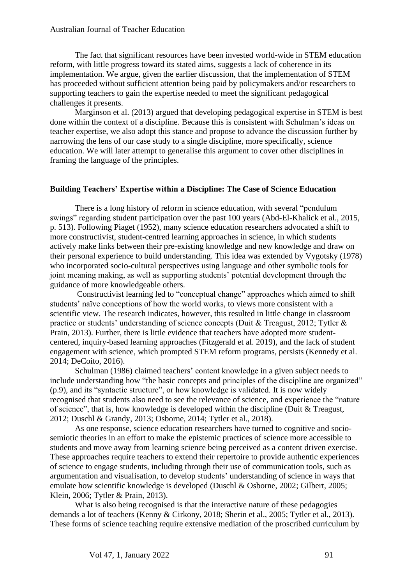#### Australian Journal of Teacher Education

The fact that significant resources have been invested world-wide in STEM education reform, with little progress toward its stated aims, suggests a lack of coherence in its implementation. We argue, given the earlier discussion, that the implementation of STEM has proceeded without sufficient attention being paid by policymakers and/or researchers to supporting teachers to gain the expertise needed to meet the significant pedagogical challenges it presents.

Marginson et al. (2013) argued that developing pedagogical expertise in STEM is best done within the context of a discipline. Because this is consistent with Schulman's ideas on teacher expertise, we also adopt this stance and propose to advance the discussion further by narrowing the lens of our case study to a single discipline, more specifically, science education. We will later attempt to generalise this argument to cover other disciplines in framing the language of the principles.

#### **Building Teachers' Expertise within a Discipline: The Case of Science Education**

There is a long history of reform in science education, with several "pendulum swings" regarding student participation over the past 100 years (Abd-El-Khalick et al., 2015, p. 513). Following Piaget (1952), many science education researchers advocated a shift to more constructivist, student-centred learning approaches in science, in which students actively make links between their pre-existing knowledge and new knowledge and draw on their personal experience to build understanding. This idea was extended by Vygotsky (1978) who incorporated socio-cultural perspectives using language and other symbolic tools for joint meaning making, as well as supporting students' potential development through the guidance of more knowledgeable others.

Constructivist learning led to "conceptual change" approaches which aimed to shift students' naïve conceptions of how the world works, to views more consistent with a scientific view. The research indicates, however, this resulted in little change in classroom practice or students' understanding of science concepts (Duit & Treagust, 2012; Tytler & Prain, 2013). Further, there is little evidence that teachers have adopted more studentcentered, inquiry-based learning approaches (Fitzgerald et al. 2019), and the lack of student engagement with science, which prompted STEM reform programs, persists (Kennedy et al. 2014; DeCoito, 2016).

Schulman (1986) claimed teachers' content knowledge in a given subject needs to include understanding how "the basic concepts and principles of the discipline are organized" (p.9), and its "syntactic structure", or how knowledge is validated. It is now widely recognised that students also need to see the relevance of science, and experience the "nature of science", that is, how knowledge is developed within the discipline (Duit & Treagust, 2012; Duschl & Grandy, 2013; Osborne, 2014; Tytler et al., 2018).

As one response, science education researchers have turned to cognitive and sociosemiotic theories in an effort to make the epistemic practices of science more accessible to students and move away from learning science being perceived as a content driven exercise. These approaches require teachers to extend their repertoire to provide authentic experiences of science to engage students, including through their use of communication tools, such as argumentation and visualisation, to develop students' understanding of science in ways that emulate how scientific knowledge is developed (Duschl & Osborne, 2002; Gilbert, 2005; Klein, 2006; Tytler & Prain, 2013).

What is also being recognised is that the interactive nature of these pedagogies demands a lot of teachers (Kenny & Cirkony, 2018; Sherin et al., 2005; Tytler et al., 2013). These forms of science teaching require extensive mediation of the proscribed curriculum by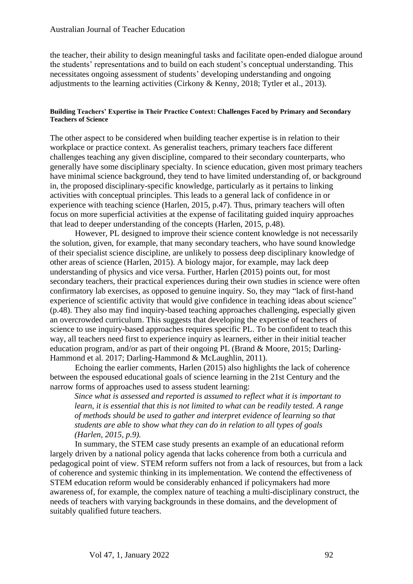the teacher, their ability to design meaningful tasks and facilitate open-ended dialogue around the students' representations and to build on each student's conceptual understanding. This necessitates ongoing assessment of students' developing understanding and ongoing adjustments to the learning activities (Cirkony & Kenny, 2018; Tytler et al., 2013).

#### **Building Teachers' Expertise in Their Practice Context: Challenges Faced by Primary and Secondary Teachers of Science**

The other aspect to be considered when building teacher expertise is in relation to their workplace or practice context. As generalist teachers, primary teachers face different challenges teaching any given discipline, compared to their secondary counterparts, who generally have some disciplinary specialty. In science education, given most primary teachers have minimal science background, they tend to have limited understanding of, or background in, the proposed disciplinary-specific knowledge, particularly as it pertains to linking activities with conceptual principles. This leads to a general lack of confidence in or experience with teaching science (Harlen, 2015, p.47). Thus, primary teachers will often focus on more superficial activities at the expense of facilitating guided inquiry approaches that lead to deeper understanding of the concepts (Harlen, 2015, p.48).

However, PL designed to improve their science content knowledge is not necessarily the solution, given, for example, that many secondary teachers, who have sound knowledge of their specialist science discipline, are unlikely to possess deep disciplinary knowledge of other areas of science (Harlen, 2015). A biology major, for example, may lack deep understanding of physics and vice versa. Further, Harlen (2015) points out, for most secondary teachers, their practical experiences during their own studies in science were often confirmatory lab exercises, as opposed to genuine inquiry. So, they may "lack of first-hand experience of scientific activity that would give confidence in teaching ideas about science" (p.48). They also may find inquiry-based teaching approaches challenging, especially given an overcrowded curriculum. This suggests that developing the expertise of teachers of science to use inquiry-based approaches requires specific PL. To be confident to teach this way, all teachers need first to experience inquiry as learners, either in their initial teacher education program, and/or as part of their ongoing PL (Brand & Moore, 2015; Darling-Hammond et al. 2017; Darling-Hammond & McLaughlin, 2011).

Echoing the earlier comments, Harlen (2015) also highlights the lack of coherence between the espoused educational goals of science learning in the 21st Century and the narrow forms of approaches used to assess student learning:

*Since what is assessed and reported is assumed to reflect what it is important to learn, it is essential that this is not limited to what can be readily tested. A range of methods should be used to gather and interpret evidence of learning so that students are able to show what they can do in relation to all types of goals (Harlen, 2015, p.9).* 

In summary, the STEM case study presents an example of an educational reform largely driven by a national policy agenda that lacks coherence from both a curricula and pedagogical point of view. STEM reform suffers not from a lack of resources, but from a lack of coherence and systemic thinking in its implementation. We contend the effectiveness of STEM education reform would be considerably enhanced if policymakers had more awareness of, for example, the complex nature of teaching a multi-disciplinary construct, the needs of teachers with varying backgrounds in these domains, and the development of suitably qualified future teachers.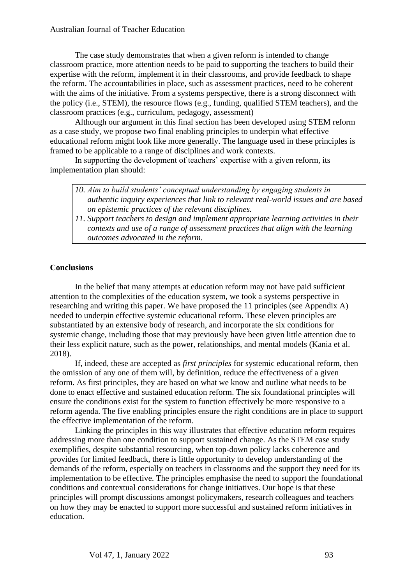#### Australian Journal of Teacher Education

The case study demonstrates that when a given reform is intended to change classroom practice, more attention needs to be paid to supporting the teachers to build their expertise with the reform, implement it in their classrooms, and provide feedback to shape the reform. The accountabilities in place, such as assessment practices, need to be coherent with the aims of the initiative. From a systems perspective, there is a strong disconnect with the policy (i.e., STEM), the resource flows (e.g., funding, qualified STEM teachers), and the classroom practices (e.g., curriculum, pedagogy, assessment)

Although our argument in this final section has been developed using STEM reform as a case study, we propose two final enabling principles to underpin what effective educational reform might look like more generally. The language used in these principles is framed to be applicable to a range of disciplines and work contexts.

In supporting the development of teachers' expertise with a given reform, its implementation plan should:

| 10. Aim to build students' conceptual understanding by engaging students in         |
|-------------------------------------------------------------------------------------|
| authentic inquiry experiences that link to relevant real-world issues and are based |
| on epistemic practices of the relevant disciplines.                                 |

*11. Support teachers to design and implement appropriate learning activities in their contexts and use of a range of assessment practices that align with the learning outcomes advocated in the reform.*

#### **Conclusions**

In the belief that many attempts at education reform may not have paid sufficient attention to the complexities of the education system, we took a systems perspective in researching and writing this paper. We have proposed the 11 principles (see Appendix A) needed to underpin effective systemic educational reform. These eleven principles are substantiated by an extensive body of research, and incorporate the six conditions for systemic change, including those that may previously have been given little attention due to their less explicit nature, such as the power, relationships, and mental models (Kania et al. 2018).

If, indeed, these are accepted as *first principles* for systemic educational reform, then the omission of any one of them will, by definition, reduce the effectiveness of a given reform. As first principles, they are based on what we know and outline what needs to be done to enact effective and sustained education reform. The six foundational principles will ensure the conditions exist for the system to function effectively be more responsive to a reform agenda. The five enabling principles ensure the right conditions are in place to support the effective implementation of the reform.

Linking the principles in this way illustrates that effective education reform requires addressing more than one condition to support sustained change. As the STEM case study exemplifies, despite substantial resourcing, when top-down policy lacks coherence and provides for limited feedback, there is little opportunity to develop understanding of the demands of the reform, especially on teachers in classrooms and the support they need for its implementation to be effective. The principles emphasise the need to support the foundational conditions and contextual considerations for change initiatives. Our hope is that these principles will prompt discussions amongst policymakers, research colleagues and teachers on how they may be enacted to support more successful and sustained reform initiatives in education.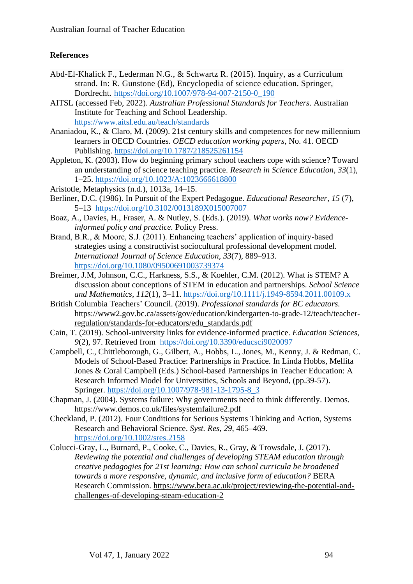# **References**

- Abd-El-Khalick F., Lederman N.G., & Schwartz R. (2015). Inquiry, as a Curriculum strand. In: R. Gunstone (Ed), Encyclopedia of science education. Springer, Dordrecht. [https://doi.org/10.1007/978-94-007-2150-0\\_190](https://doi.org/10.1007/978-94-007-2150-0_190)
- AITSL (accessed Feb, 2022). *Australian Professional Standards for Teachers*. Australian Institute for Teaching and School Leadership. <https://www.aitsl.edu.au/teach/standards>
- Ananiadou, K., & Claro, M. (2009). 21st century skills and competences for new millennium learners in OECD Countries. *OECD education working papers*, No. 41. OECD Publishing.<https://doi.org/10.1787/218525261154>
- Appleton, K. (2003). How do beginning primary school teachers cope with science? Toward an understanding of science teaching practice. *Research in Science Education*, *33*(1), 1–25.<https://doi.org/10.1023/A:1023666618800>
- Aristotle, Metaphysics (n.d.), 1013a, 14–15.
- Berliner, D.C. (1986). In Pursuit of the Expert Pedagogue. *Educational Researcher*, *15* (7), 5–13 <https://doi.org/10.3102/0013189X015007007>
- Boaz, A., Davies, H., Fraser, A. & Nutley, S. (Eds.). (2019). *What works now? Evidenceinformed policy and practice.* Policy Press.
- Brand, B.R., & Moore, S.J. (2011). Enhancing teachers' application of inquiry-based strategies using a constructivist sociocultural professional development model. *International Journal of Science Education, 33*(7), 889–913. <https://doi.org/10.1080/09500691003739374>
- Breimer, J.M, Johnson, C.C., Harkness, S.S., & Koehler, C.M. (2012). What is STEM? A discussion about conceptions of STEM in education and partnerships. *School Science and Mathematics, 112*(1), 3–11. <https://doi.org/10.1111/j.1949-8594.2011.00109.x>
- British Columbia Teachers' Council. (2019). *Professional standards for BC educators.*  [https://www2.gov.bc.ca/assets/gov/education/kindergarten-to-grade-12/teach/teacher](https://www2.gov.bc.ca/assets/gov/education/kindergarten-to-grade-12/teach/teacher-regulation/standards-for-educators/edu_standards.pdf)[regulation/standards-for-educators/edu\\_standards.pdf](https://www2.gov.bc.ca/assets/gov/education/kindergarten-to-grade-12/teach/teacher-regulation/standards-for-educators/edu_standards.pdf)
- Cain, T. (2019). School-university links for evidence-informed practice. *Education Sciences*, *9*(2), 97. Retrieved from <https://doi.org/10.3390/educsci9020097>
- Campbell, C., Chittleborough, G., Gilbert, A., Hobbs, L., Jones, M., Kenny, J. & Redman, C. Models of School-Based Practice: Partnerships in Practice. In Linda Hobbs, Mellita Jones & Coral Campbell (Eds.) School-based Partnerships in Teacher Education: A Research Informed Model for Universities, Schools and Beyond, (pp.39-57). Springer. [https://doi.org/10.1007/978-981-13-1795-8\\_3](https://doi.org/10.1007/978-981-13-1795-8_3)
- Chapman, J. (2004). Systems failure: Why governments need to think differently. Demos. https://www.demos.co.uk/files/systemfailure2.pdf
- Checkland, P. (2012). Four Conditions for Serious Systems Thinking and Action, Systems Research and Behavioral Science. *Syst. Res, 29*, 465–469. <https://doi.org/10.1002/sres.2158>
- Colucci-Gray, L., Burnard, P., Cooke, C., Davies, R., Gray, & Trowsdale, J. (2017). *Reviewing the potential and challenges of developing STEAM education through creative pedagogies for 21st learning: How can school curricula be broadened towards a more responsive, dynamic, and inclusive form of education?* BERA Research Commission. [https://www.bera.ac.uk/project/reviewing-the-potential-and](https://www.bera.ac.uk/project/reviewing-the-potential-and-challenges-of-developing-steam-education-2)[challenges-of-developing-steam-education-2](https://www.bera.ac.uk/project/reviewing-the-potential-and-challenges-of-developing-steam-education-2)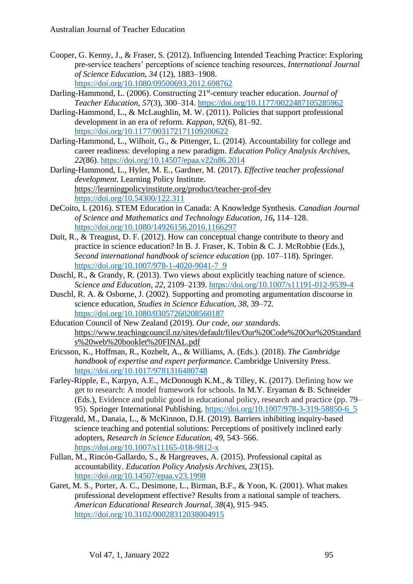- Cooper, G. Kenny, J., & Fraser, S. (2012). Influencing Intended Teaching Practice: Exploring pre-service teachers' perceptions of science teaching resources, *International Journal of Science Education, 34* (12), 1883–1908. <https://doi.org/10.1080/09500693.2012.698762>
- Darling-Hammond, L. (2006). Constructing 21<sup>st</sup>-century teacher education. *Journal of Teacher Education, 57*(3), 300–314.<https://doi.org/10.1177/0022487105285962>
- Darling-Hammond, L., & McLaughlin, M. W. (2011). Policies that support professional development in an era of reform. *Kappan*, *92*(6), 81–92. <https://doi.org/10.1177/003172171109200622>
- Darling-Hammond, L., Wilhoit, G., & Pittenger, L. (2014). Accountability for college and career readiness: developing a new paradigm. *Education Policy Analysis Archives*, *22*(86).<https://doi.org/10.14507/epaa.v22n86.2014>
- Darling-Hammond, L., Hyler, M. E., Gardner, M. (2017). *Effective teacher professional development*. Learning Policy Institute. <https://learningpolicyinstitute.org/product/teacher-prof-dev> <https://doi.org/10.54300/122.311>
- DeCoito, I. (2016). STEM Education in Canada: A Knowledge Synthesis. *Canadian Journal of Science and Mathematics and Technology Education, 16***,** 114–128. <https://doi.org/10.1080/14926156.2016.1166297>
- Duit, R., & Treagust, D. F. (2012). How can conceptual change contribute to theory and practice in science education? In B. J. Fraser, K. Tobin & C. J. McRobbie (Eds.), *Second international handbook of science education* (pp. 107–118). Springer. [https://doi.org/10.1007/978-1-4020-9041-7\\_9](https://doi.org/10.1007/978-1-4020-9041-7_9)
- Duschl, R., & Grandy, R. (2013). Two views about explicitly teaching nature of science. *Science and Education, 22*, 2109–2139.<https://doi.org/10.1007/s11191-012-9539-4>
- Duschl, R. A. & Osborne, J. (2002). Supporting and promoting argumentation discourse in science education, *Studies in Science Education, 38*, 39–72. <https://doi.org/10.1080/03057260208560187>
- Education Council of New Zealand (2019). *Our code, our standards.* [https://www.teachingcouncil.nz/sites/default/files/Our%20Code%20Our%20Standard](https://www.teachingcouncil.nz/sites/default/files/Our%20Code%20Our%20Standards%20web%20booklet%20FINAL.pdf) [s%20web%20booklet%20FINAL.pdf](https://www.teachingcouncil.nz/sites/default/files/Our%20Code%20Our%20Standards%20web%20booklet%20FINAL.pdf)
- Ericsson, K., Hoffman, R., Kozbelt, A., & Williams, A. (Eds.). (2018). *The Cambridge handbook of expertise and expert performance*. Cambridge University Press. <https://doi.org/10.1017/9781316480748>
- Farley-Ripple, E., Karpyn, A.E., McDonough K.M., & Tilley, K. (2017). Defining how we get to research: A model framework for schools. In M.Y. Eryaman & B. Schneider (Eds.), Evidence and public good in educational policy, research and practice (pp. 79– 95). Springer International Publishing. [https://doi.org/10.1007/978-3-319-58850-6\\_5](https://doi.org/10.1007/978-3-319-58850-6_5)
- Fitzgerald, M., Danaia, L., & McKinnon, D.H. (2019). Barriers inhibiting inquiry-based science teaching and potential solutions: Perceptions of positively inclined early adopters, *Research in Science Education, 49*, 543–566. <https://doi.org/10.1007/s11165-018-9812-x>
- Fullan, M., Rincón-Gallardo, S., & Hargreaves, A. (2015). Professional capital as accountability. *Education Policy Analysis Archives, 23*(15). <https://doi.org/10.14507/epaa.v23.1998>
- Garet, M. S., Porter, A. C., Desimone, L., Birman, B.F., & Yoon, K. (2001). What makes professional development effective? Results from a national sample of teachers. *American Educational Research Journal, 38*(4), 915–945. <https://doi.org/10.3102/00028312038004915>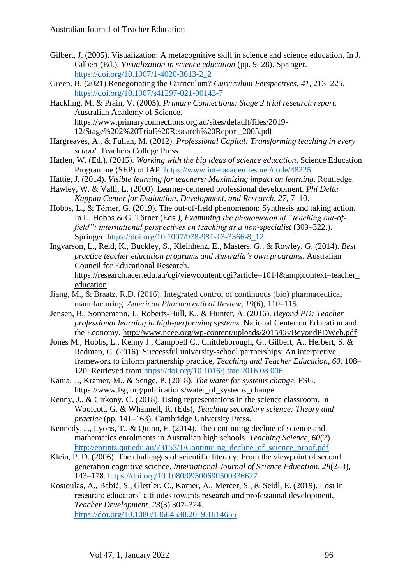- Gilbert, J. (2005). Visualization: A metacognitive skill in science and science education. In J. Gilbert (Ed.), *Visualization in science education* (pp. 9–28). Springer. [https://doi.org/10.1007/1-4020-3613-2\\_2](https://doi.org/10.1007/1-4020-3613-2_2)
- Green, B. (2021) Renegotiating the Curriculum? *Curriculum Perspectives, 41*, 213–225. <https://doi.org/10.1007/s41297-021-00143-7>
- Hackling, M. & Prain, V. (2005). *Primary Connections: Stage 2 trial research report.*  Australian Academy of Science. https://www.primaryconnections.org.au/sites/default/files/2019-

12/Stage%202%20Trial%20Research%20Report\_2005.pdf

- Hargreaves, A., & Fullan, M. (2012). *Professional Capital: Transforming teaching in every school*. Teachers College Press.
- Harlen, W. (Ed.). (2015). *Working with the big ideas of science education*, Science Education Programme (SEP) of IAP.<https://www.interacademies.net/node/48225>
- Hattie, J. (2014). *Visible learning for teachers: Maximizing impact on learning*. Routledge.
- Hawley, W. & Valli, L. (2000). Learner-centered professional development. *Phi Delta Kappan Center for Evaluation, Development, and Research, 27*, 7–10.
- Hobbs, L., & Törner, G. (2019). The out-of-field phenomenon: Synthesis and taking action. In L. Hobbs & G. Törner (Eds*.), Examining the phenomenon of "teaching out-offield": international perspectives on teaching as a non-specialist* (309–322.). Springer. [https://doi.org/10.1007/978-981-13-3366-8\\_12](https://doi.org/10.1007/978-981-13-3366-8_12)
- Ingvarson, L., Reid, K., Buckley, S., Kleinhenz, E., Masters, G., & Rowley, G. (2014). *Best practice teacher education programs and Australia's own programs*. Australian Council for Educational Research. [https://research.acer.edu.au/cgi/viewcontent.cgi?article=1014&context=teacher\\_](https://research.acer.edu.au/cgi/viewcontent.cgi?article=1014&context=teacher_education) [education.](https://research.acer.edu.au/cgi/viewcontent.cgi?article=1014&context=teacher_education)
- Jiang, M., & Braatz, R.D. (2016). Integrated control of continuous (bio) pharmaceutical manufacturing. *American Pharmaceutical Review*, *19*(6), 110–115.
- Jensen, B., Sonnemann, J., Roberts-Hull, K., & Hunter, A. (2016). *Beyond PD: Teacher professional learning in high-performing systems.* National Center on Education and the Economy. <http://www.ncee.org/wp-content/uploads/2015/08/BeyondPDWeb.pdf>
- Jones M., Hobbs, L., Kenny J., Campbell C., Chittleborough, G., Gilbert, A., Herbert, S. & Redman, C. (2016). Successful university-school partnerships: An interpretive framework to inform partnership practice, *Teaching and Teacher Education*, *60*, 108– 120. Retrieved from<https://doi.org/10.1016/j.tate.2016.08.006>
- Kania, J., Kramer, M., & Senge, P. (2018). *The water for systems change.* FSG. [https://www.fsg.org/publications/water\\_of\\_systems\\_change](https://protect-au.mimecast.com/s/9w7XCBNZz7iwBLgBSz8oxq?domain=fsg.org)
- Kenny, J., & Cirkony, C. (2018). Using representations in the science classroom. In Woolcott, G. & Whannell, R. (Eds), *Teaching secondary science: Theory and practice* (pp. 141–163). Cambridge University Press*.*
- Kennedy, J., Lyons, T., & Quinn, F. (2014). The continuing decline of science and mathematics enrolments in Australian high schools. *Teaching Science, 60*(2). [http://eprints.qut.edu.au/73153/1/Continui ng\\_decline\\_of\\_science\\_proof.pdf](http://eprints.qut.edu.au/73153/1/Continui%20ng_decline_of_science_proof.pdf)
- Klein, P. D. (2006). The challenges of scientific literacy: From the viewpoint of second generation cognitive science. *International Journal of Science Education, 28*(2–3), 143–178.<https://doi.org/10.1080/09500690500336627>
- Kostoulas, A., Babić, S., Glettler, C., Karner, A., Mercer, S., & Seidl, E. (2019). Lost in research: educators' attitudes towards research and professional development, *Teacher Development, 23*(3) 307–324. <https://doi.org/10.1080/13664530.2019.1614655>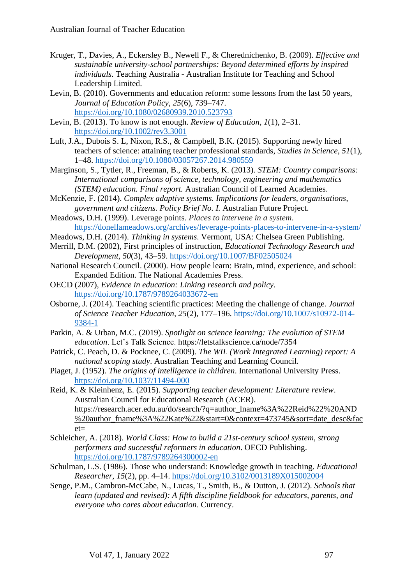- Kruger, T., Davies, A., Eckersley B., Newell F., & Cherednichenko, B. (2009). *Effective and sustainable university-school partnerships: Beyond determined efforts by inspired individuals*. Teaching Australia - Australian Institute for Teaching and School Leadership Limited.
- Levin, B. (2010). Governments and education reform: some lessons from the last 50 years, *Journal of Education Policy, 25*(6), 739–747. <https://doi.org/10.1080/02680939.2010.523793>
- Levin, B. (2013). To know is not enough. *Review of Education, 1*(1), 2–31. <https://doi.org/10.1002/rev3.3001>
- Luft, J.A., Dubois S. L, Nixon, R.S., & Campbell, B.K. (2015). Supporting newly hired teachers of science: attaining teacher professional standards, *Studies in Science, 51*(1), 1–48.<https://doi.org/10.1080/03057267.2014.980559>
- Marginson, S., Tytler, R., Freeman, B., & Roberts, K. (2013). *STEM: Country comparisons: International comparisons of science, technology, engineering and mathematics (STEM) education. Final report.* Australian Council of Learned Academies.
- McKenzie, F. (2014). *Complex adaptive systems. Implications for leaders, organisations, government and citizens. Policy Brief No. I.* Australian Future Project.
- Meadows, D.H. (1999). Leverage points. *Places to intervene in a system*. <https://donellameadows.org/archives/leverage-points-places-to-intervene-in-a-system/>
- Meadows, D.H. (2014). *Thinking in systems*. Vermont, USA: Chelsea Green Publishing.
- Merrill, D.M. (2002), First principles of instruction, *Educational Technology Research and Development, 50*(3), 43–59. <https://doi.org/10.1007/BF02505024>
- National Research Council. (2000). How people learn: Brain, mind, experience, and school: Expanded Edition. The National Academies Press.
- OECD (2007), *Evidence in education: Linking research and policy*. <https://doi.org/10.1787/9789264033672-en>
- Osborne, J. (2014). Teaching scientific practices: Meeting the challenge of change. *Journal of Science Teacher Education, 25*(2), 177–196. [https://doi.org/10.1007/s10972-014-](https://doi.org/10.1007/s10972-014-9384-1) [9384-1](https://doi.org/10.1007/s10972-014-9384-1)
- Parkin, A. & Urban, M.C. (2019). *Spotlight on science learning: The evolution of STEM education*. Let's Talk Science.<https://letstalkscience.ca/node/7354>
- Patrick, C. Peach, D. & Pocknee, C. (2009). *The WIL (Work Integrated Learning) report: A national scoping study*. Australian Teaching and Learning Council.
- Piaget, J. (1952). *The origins of intelligence in children*. International University Press. <https://doi.org/10.1037/11494-000>
- Reid, K. & Kleinhenz, E. (2015). *Supporting teacher development: Literature review*. Australian Council for Educational Research (ACER). [https://research.acer.edu.au/do/search/?q=author\\_lname%3A%22Reid%22%20AND](https://research.acer.edu.au/do/search/?q=author_lname%3A%22Reid%22%20AND%20author_fname%3A%22Kate%22&start=0&context=473745&sort=date_desc&facet=) [%20author\\_fname%3A%22Kate%22&start=0&context=473745&sort=date\\_desc&fac](https://research.acer.edu.au/do/search/?q=author_lname%3A%22Reid%22%20AND%20author_fname%3A%22Kate%22&start=0&context=473745&sort=date_desc&facet=)  $et=$
- Schleicher, A. (2018). *World Class: How to build a 21st-century school system, strong performers and successful reformers in education*. OECD Publishing. <https://doi.org/10.1787/9789264300002-en>
- Schulman, L.S. (1986). Those who understand: Knowledge growth in teaching. *Educational Researcher, 15*(2), pp. 4–14.<https://doi.org/10.3102/0013189X015002004>
- Senge, P.M., Cambron-McCabe, N., Lucas, T., Smith, B., & Dutton, J. (2012). *Schools that learn (updated and revised): A fifth discipline fieldbook for educators, parents, and everyone who cares about education*. Currency.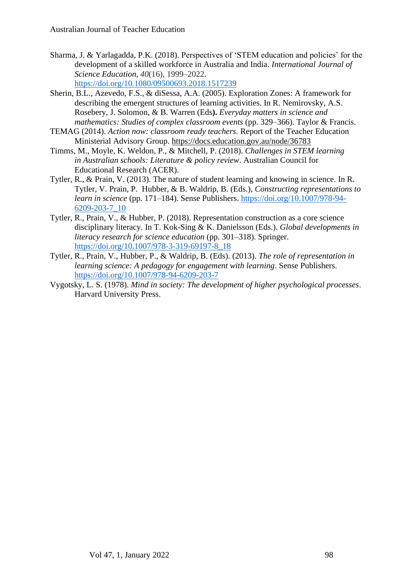- Sharma, J. & Yarlagadda, P.K. (2018). Perspectives of 'STEM education and policies' for the development of a skilled workforce in Australia and India. *International Journal of Science Education, 40*(16), 1999–2022. <https://doi.org/10.1080/09500693.2018.1517239>
- Sherin, B.L., Azevedo, F.S., & diSessa, A.A. (2005). Exploration Zones: A framework for describing the emergent structures of learning activities. In R. Nemirovsky, A.S. Rosebery, J. Solomon, & B. Warren (Eds**).** *Everyday matters in science and mathematics: Studies of complex classroom events* (pp. 329–366). Taylor & Francis.
- TEMAG (2014). *Action now: classroom ready teachers.* Report of the Teacher Education Ministerial Advisory Group.<https://docs.education.gov.au/node/36783>
- Timms, M., Moyle, K. Weldon, P., & Mitchell, P. (2018). *Challenges in STEM learning in Australian schools: Literature & policy review*. Australian Council for Educational Research (ACER).
- Tytler, R., & Prain, V. (2013). The nature of student learning and knowing in science. In R. Tytler, V. Prain, P. Hubber, & B. Waldrip, B. (Eds.), *Constructing representations to learn in science* (pp. 171–184). Sense Publishers. [https://doi.org/10.1007/978-94-](https://doi.org/10.1007/978-94-6209-203-7_10) [6209-203-7\\_10](https://doi.org/10.1007/978-94-6209-203-7_10)
- Tytler, R., Prain, V., & Hubber, P. (2018). Representation construction as a core science disciplinary literacy. In T. Kok-Sing & K. Danielsson (Eds.). *Global developments in literacy research for science education* (pp. 301–318). Springer. [https://doi.org/10.1007/978-3-319-69197-8\\_18](https://doi.org/10.1007/978-3-319-69197-8_18)
- Tytler, R., Prain, V., Hubber, P., & Waldrip, B. (Eds). (2013). *The role of representation in learning science: A pedagogy for engagement with learning*. Sense Publishers. <https://doi.org/10.1007/978-94-6209-203-7>
- Vygotsky, L. S. (1978). *Mind in society: The development of higher psychological processes*. Harvard University Press.